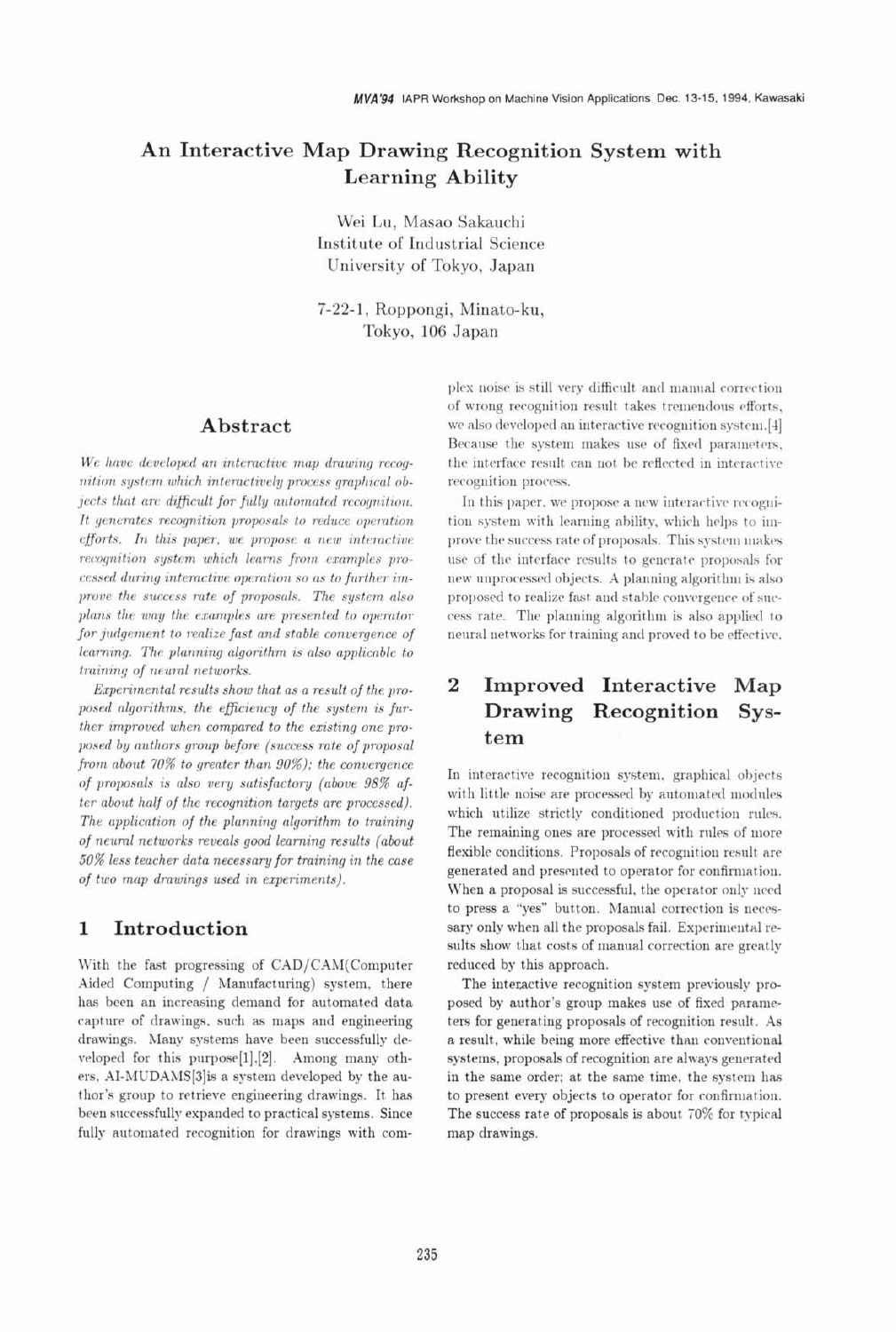# An Interactive Map Drawing Recognition System with **Learning Ability**

Wei Lu, Masao Sakauchi Institute of Industrial Science University of Tokyo, Japan

7-22-1, Roppongi, Minato-ku, Tokyo, 106 Japan

# Abstract

We have developed an interactive map drawing recognition system which interactively process graphical objects that are difficult for fully automated recognition. It generates recognition proposals to reduce operation efforts. In this paper, we propose a new interactive recognition system which learns from examples processed during interactive operation so as to further improve the success rate of proposals. The system also plans the way the examples are presented to operator for judgement to realize fast and stable convergence of learning. The planning algorithm is also applicable to training of neural networks.

Experimental results show that as a result of the proposed algorithms, the efficiency of the system is further improved when compared to the existing one proposed by authors group before (success rate of proposal from about 70% to greater than 90%); the convergence of proposals is also very satisfactory (above 98% after about half of the recognition targets are processed). The application of the planning algorithm to training of neural networks reveals good learning results (about 50% less teacher data necessary for training in the case of two map drawings used in experiments).

### $\mathbf{1}$ Introduction

With the fast progressing of CAD/CAM(Computer Aided Computing / Manufacturing) system, there has been an increasing demand for automated data capture of drawings, such as maps and engineering drawings. Many systems have been successfully developed for this purpose[1], $[2]$ . Among many others, AI-MUDAMS[3]is a system developed by the author's group to retrieve engineering drawings. It has been successfully expanded to practical systems. Since fully automated recognition for drawings with complex noise is still very difficult and manual correction of wrong recognition result takes tremendous efforts. we also developed an interactive recognition system.[4] Because the system makes use of fixed parameters, the interface result can not be reflected in interactive recognition process.

In this paper, we propose a new interactive recognition system with learning ability, which helps to improve the success rate of proposals. This system makes use of the interface results to generate proposals for new unprocessed objects. A planning algorithm is also proposed to realize fast and stable convergence of success rate. The planning algorithm is also applied to neural networks for training and proved to be effective.

# $\overline{2}$ Improved Interactive Map Drawing Recognition System

In interactive recognition system, graphical objects with little noise are processed by automated modules which utilize strictly conditioned production rules. The remaining ones are processed with rules of more flexible conditions. Proposals of recognition result are generated and presented to operator for confirmation. When a proposal is successful, the operator only need to press a "yes" button. Manual correction is necessary only when all the proposals fail. Experimental results show that costs of manual correction are greatly reduced by this approach.

The interactive recognition system previously proposed by author's group makes use of fixed parameters for generating proposals of recognition result. As a result, while being more effective than conventional systems, proposals of recognition are always generated in the same order; at the same time, the system has to present every objects to operator for confirmation. The success rate of proposals is about 70% for typical map drawings.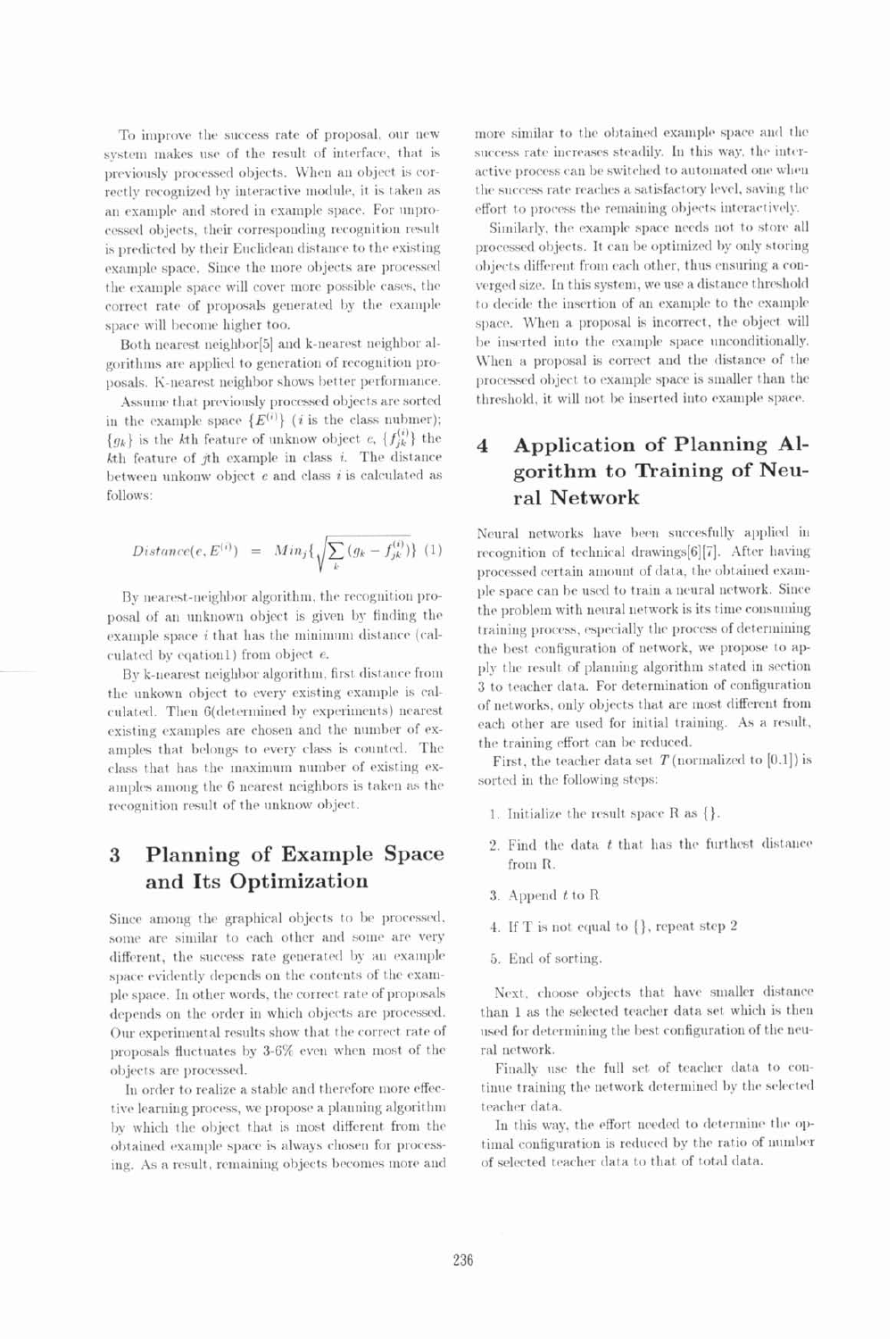To improve the success rate of proposal, our new system makes use of the result of interface, that is previously processed objects. When an object is correctly recognized by interactive module, it is taken as an example and stored in example space. For unprocessed objects, their corresponding recognition result is predicted by their Euclidean distance to the existing example space. Since the more objects are processed the example space will cover more possible cases, the correct rate of proposals generated by the example space will become higher too.

Both nearest neighbor[5] and k-nearest neighbor algorithms are applied to generation of recognition proposals. K-nearest neighbor shows better performance.

Assume that previously processed objects are sorted in the example space  ${E^{(i)}}$  (*i* is the class nubmer);  ${g_k}$  is the k<sup>th</sup> feature of unknow object  $e$ ,  ${f_{ik}^{(i)}}$  the  $k$ th feature of  $j$ th example in class  $i$ . The distance between unkonw object  $e$  and class  $i$  is calculated as follows:

$$
Distance(e, E^{(i)}) = Min_j \{ \sqrt{\sum_k (g_k - f^{(i)}_{jk})} \} (1)
$$

By nearest-neighbor algorithm, the recognition proposal of an unknown object is given by finding the example space  $i$  that has the minimum distance (calculated by eqation1) from object e.

By k-nearest neighbor algorithm, first distance from the unkown object to every existing example is calculated. Then 6(determined by experiments) nearest existing examples are chosen and the number of examples that belongs to every class is counted. The class that has the maximum number of existing examples among the 6 nearest neighbors is taken as the recognition result of the unknow object.

### Planning of Example Space 3 and Its Optimization

Since among the graphical objects to be processed, some are similar to each other and some are very different, the success rate generated by an example space evidently depends on the contents of the example space. In other words, the correct rate of proposals depends on the order in which objects are processed. Our experimental results show that the correct rate of proposals fluctuates by 3-6% even when most of the objects are processed.

In order to realize a stable and therefore more effective learning process, we propose a planning algorithm by which the object that is most different from the obtained example space is always chosen for processing. As a result, remaining objects becomes more and more similar to the obtained example space and the success rate increases steadily. In this way, the interactive process can be switched to automated one when the success rate reaches a satisfactory level, saving the effort to process the remaining objects interactively.

Similarly, the example space needs not to store all processed objects. It can be optimized by only storing objects different from each other, thus ensuring a converged size. In this system, we use a distance threshold to decide the insertion of an example to the example space. When a proposal is incorrect, the object will be inserted into the example space unconditionally. When a proposal is correct and the distance of the processed object to example space is smaller than the threshold, it will not be inserted into example space.

## Application of Planning Al-4 gorithm to Training of Neural Network

Neural networks have been succesfully applied in recognition of technical drawings[6][7]. After having processed certain amount of data, the obtained example space can be used to train a neural network. Since the problem with neural network is its time consuming training process, especially the process of determining the best configuration of network, we propose to apply the result of planning algorithm stated in section 3 to teacher data. For determination of configuration of networks, only objects that are most different from each other are used for initial training. As a result, the training effort can be reduced.

First, the teacher data set  $T$  (normalized to [0,1]) is sorted in the following steps:

- 1. Initialize the result space  $R$  as  $\{\}.$
- 2. Find the data  $t$  that has the furthest distance from R.
- 3. Append  $t$  to R
- 4. If T is not equal to  $\{\}$ , repeat step 2
- 5. End of sorting.

Next, choose objects that have smaller distance than 1 as the selected teacher data set which is then used for determining the best configuration of the neural network.

Finally use the full set of teacher data to continue training the network determined by the selected teacher data.

In this way, the effort needed to determine the optimal configuration is reduced by the ratio of number of selected teacher data to that of total data.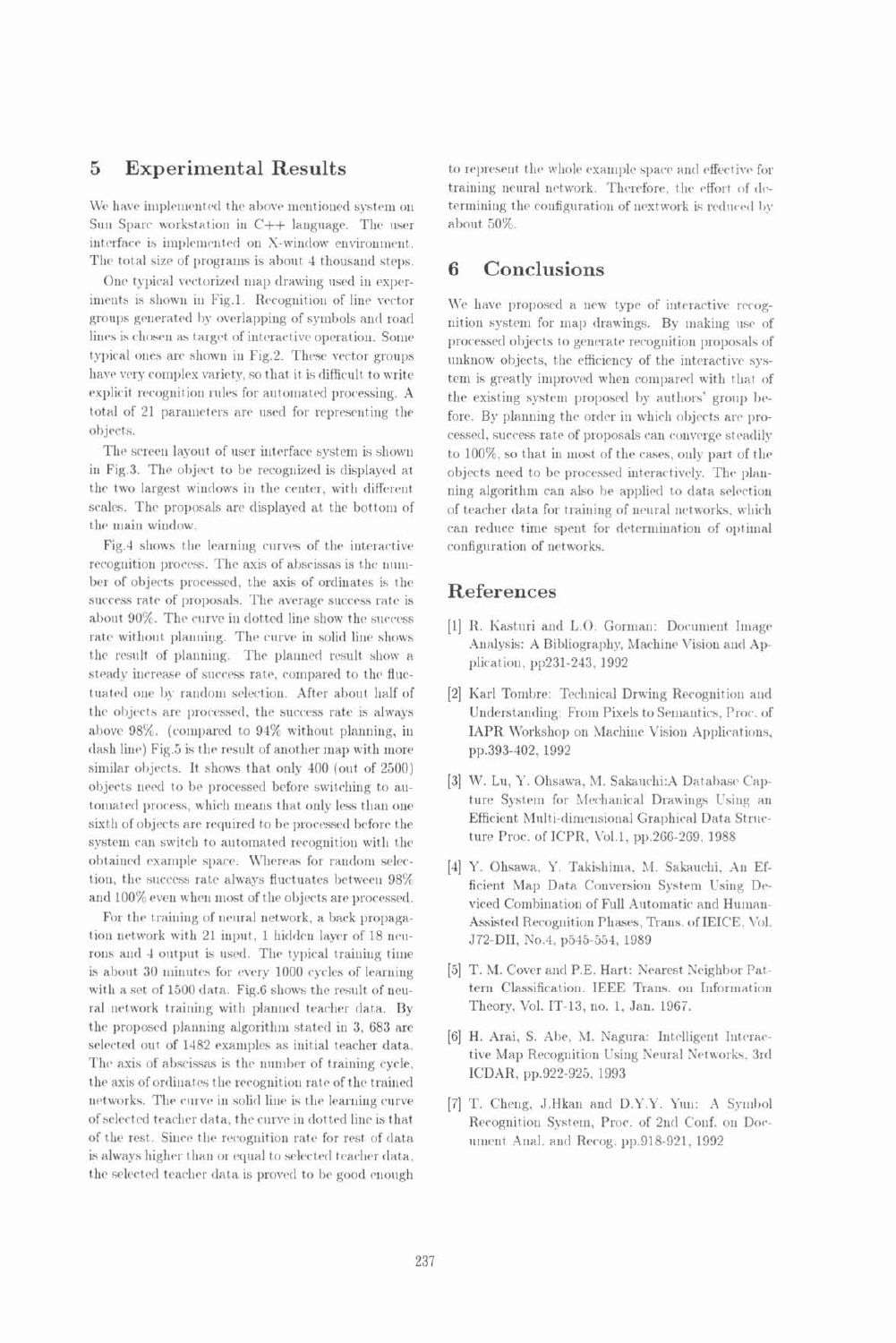### **Experimental Results** 5

We have implemented the above mentioned system on Sun Sparc workstation in C++ language. The user interface is implemented on X-window environment. The total size of programs is about 4 thousand steps.

One typical vectorized map drawing used in experiments is shown in Fig.1. Recognition of line vector groups generated by overlapping of symbols and road lines is chosen as target of interactive operation. Some typical ones are shown in Fig.2. These vector groups have very complex variety, so that it is difficult to write explicit recognition rules for automated processing. A total of 21 parameters are used for representing the objects.

The screen layout of user interface system is shown in Fig.3. The object to be recognized is displayed at the two largest windows in the center, with different scales. The proposals are displayed at the bottom of the main window.

Fig.4 shows the learning curves of the interactive recognition process. The axis of abscissas is the number of objects processed, the axis of ordinates is the success rate of proposals. The average success rate is about 90%. The curve in dotted line show the success rate without planning. The curve in solid line shows the result of planning. The planned result show a steady increase of success rate, compared to the fluctuated one by random selection. After about half of the objects are processed, the success rate is always above 98%. (compared to 94% without planning, in dash line) Fig.5 is the result of another map with more similar objects. It shows that only 400 (out of 2500) objects need to be processed before switching to automated process, which means that only less than one sixth of objects are required to be processed before the system can switch to automated recognition with the obtained example space. Whereas for random selection, the success rate always fluctuates between 98% and 100% even when most of the objects are processed.

For the training of neural network, a back propagation network with 21 input, 1 hidden laver of 18 neurons and 4 output is used. The typical training time is about 30 minutes for every 1000 cycles of learning with a set of 1500 data. Fig.6 shows the result of neural network training with planned teacher data. By the proposed planning algorithm stated in 3, 683 are selected out of 1482 examples as initial teacher data. The axis of abscissas is the number of training cycle, the axis of ordinates the recognition rate of the trained networks. The curve in solid line is the learning curve of selected teacher data, the curve in dotted line is that of the rest. Since the recognition rate for rest of data is always higher than or equal to selected teacher data, the selected teacher data is proved to be good enough to represent the whole example space and effective for training neural network. Therefore, the effort of determining the configuration of nextwork is reduced by about 50%.

### Conclusions 6

We have proposed a new type of interactive recognition system for map drawings. By making use of processed objects to generate recognition proposals of unknow objects, the efficiency of the interactive system is greatly improved when compared with that of the existing system proposed by authors' group before. By planning the order in which objects are processed, success rate of proposals can converge steadily to 100%, so that in most of the cases, only part of the objects need to be processed interactively. The planning algorithm can also be applied to data selection of teacher data for training of neural networks, which can reduce time spent for determination of optimal configuration of networks.

# References

- [1] R. Kasturi and L.O. Gorman: Document Image Analysis: A Bibliography, Machine Vision and Application, pp231-243, 1992
- [2] Karl Tombre: Technical Drwing Recognition and Understanding: From Pixels to Semantics, Proc. of IAPR Workshop on Machine Vision Applications, pp.393-402, 1992
- [3] W. Lu, Y. Ohsawa, M. Sakauchi: A Database Capture System for Mechanical Drawings Using an Efficient Multi-dimensional Graphical Data Structure Proc. of ICPR, Vol.1, pp.266-269, 1988
- [4] Y. Ohsawa, Y. Takishima, M. Sakauchi, An Efficient Map Data Conversion System Using Deviced Combination of Full Automatic and Human-Assisted Recognition Phases, Trans. of IEICE, Vol. J72-DII, No.4, p545-554, 1989
- [5] T. M. Cover and P.E. Hart: Nearest Neighbor Pattern Classification. IEEE Trans. on Information Theory, Vol. IT-13, no. 1, Jan. 1967.
- [6] H. Arai, S. Abe, M. Nagura: Intelligent Interactive Map Recognition Using Neural Networks, 3rd ICDAR, pp.922-925, 1993
- [7] T. Cheng, J.Hkan and D.Y.Y. Yun: A Symbol Recognition System, Proc. of 2nd Conf. on Document Anal. and Recog. pp.918-921, 1992